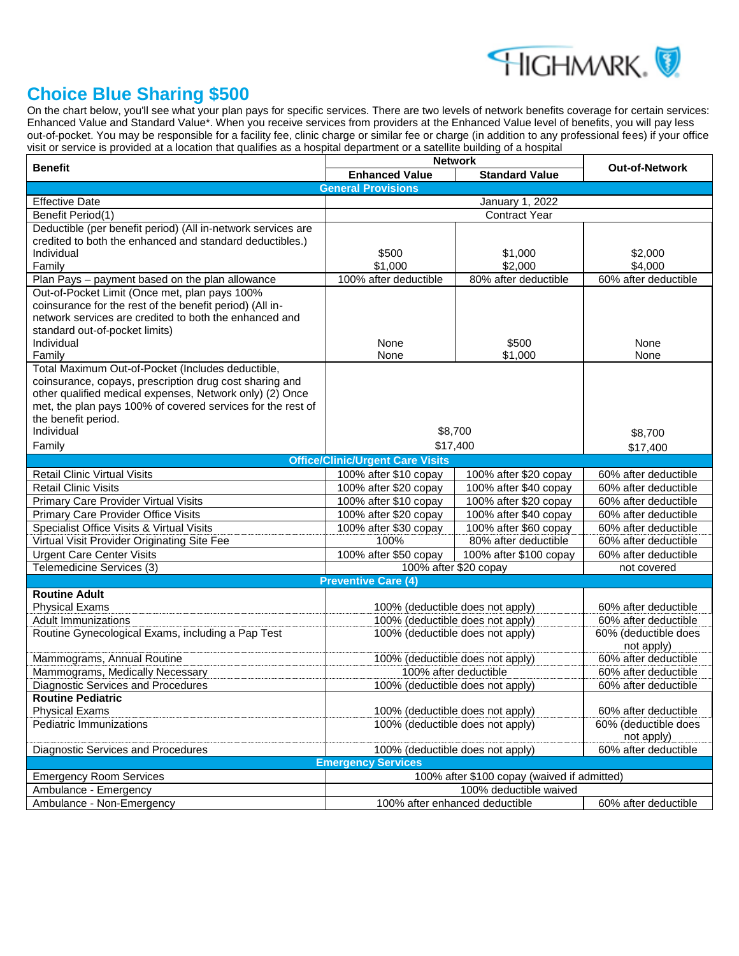

## **Choice Blue Sharing \$500**

On the chart below, you'll see what your plan pays for specific services. There are two levels of network benefits coverage for certain services: Enhanced Value and Standard Value\*. When you receive services from providers at the Enhanced Value level of benefits, you will pay less out-of-pocket. You may be responsible for a facility fee, clinic charge or similar fee or charge (in addition to any professional fees) if your office visit or service is provided at a location that qualifies as a hospital department or a satellite building of a hospital

|                                                                                                                     | <b>Network</b>                                                                                 |                        |                                              |  |  |  |
|---------------------------------------------------------------------------------------------------------------------|------------------------------------------------------------------------------------------------|------------------------|----------------------------------------------|--|--|--|
| <b>Benefit</b>                                                                                                      | <b>Enhanced Value</b>                                                                          | <b>Standard Value</b>  | <b>Out-of-Network</b>                        |  |  |  |
| <b>General Provisions</b>                                                                                           |                                                                                                |                        |                                              |  |  |  |
| <b>Effective Date</b>                                                                                               | January 1, 2022                                                                                |                        |                                              |  |  |  |
| Benefit Period(1)                                                                                                   | Contract Year                                                                                  |                        |                                              |  |  |  |
| Deductible (per benefit period) (All in-network services are                                                        |                                                                                                |                        |                                              |  |  |  |
| credited to both the enhanced and standard deductibles.)                                                            |                                                                                                |                        |                                              |  |  |  |
| Individual                                                                                                          | \$500                                                                                          | \$1,000                | \$2,000                                      |  |  |  |
| Family                                                                                                              | \$1,000                                                                                        | \$2,000                | \$4,000                                      |  |  |  |
| Plan Pays - payment based on the plan allowance                                                                     | 100% after deductible                                                                          | 80% after deductible   | 60% after deductible                         |  |  |  |
| Out-of-Pocket Limit (Once met, plan pays 100%                                                                       |                                                                                                |                        |                                              |  |  |  |
| coinsurance for the rest of the benefit period) (All in-                                                            |                                                                                                |                        |                                              |  |  |  |
| network services are credited to both the enhanced and                                                              |                                                                                                |                        |                                              |  |  |  |
| standard out-of-pocket limits)                                                                                      |                                                                                                |                        |                                              |  |  |  |
| Individual                                                                                                          | None                                                                                           | \$500                  | None                                         |  |  |  |
| Family                                                                                                              | None                                                                                           | \$1,000                | None                                         |  |  |  |
| Total Maximum Out-of-Pocket (Includes deductible,                                                                   |                                                                                                |                        |                                              |  |  |  |
| coinsurance, copays, prescription drug cost sharing and<br>other qualified medical expenses, Network only) (2) Once |                                                                                                |                        |                                              |  |  |  |
| met, the plan pays 100% of covered services for the rest of                                                         |                                                                                                |                        |                                              |  |  |  |
| the benefit period.                                                                                                 |                                                                                                |                        |                                              |  |  |  |
| Individual                                                                                                          |                                                                                                | \$8,700                |                                              |  |  |  |
| Family                                                                                                              | \$17,400                                                                                       |                        | \$8,700                                      |  |  |  |
|                                                                                                                     |                                                                                                |                        | \$17,400                                     |  |  |  |
|                                                                                                                     | <b>Office/Clinic/Urgent Care Visits</b>                                                        |                        |                                              |  |  |  |
| <b>Retail Clinic Virtual Visits</b>                                                                                 | 100% after \$10 copay                                                                          | 100% after \$20 copay  | 60% after deductible                         |  |  |  |
| <b>Retail Clinic Visits</b>                                                                                         | 100% after \$20 copay                                                                          | 100% after \$40 copay  | 60% after deductible                         |  |  |  |
| Primary Care Provider Virtual Visits                                                                                | 100% after \$10 copay                                                                          | 100% after \$20 copay  | 60% after deductible                         |  |  |  |
| Primary Care Provider Office Visits                                                                                 | 100% after \$20 copay                                                                          | 100% after \$40 copay  | 60% after deductible                         |  |  |  |
| Specialist Office Visits & Virtual Visits                                                                           | 100% after \$30 copay                                                                          | 100% after \$60 copay  | 60% after deductible                         |  |  |  |
| Virtual Visit Provider Originating Site Fee                                                                         | 100%                                                                                           | 80% after deductible   | 60% after deductible                         |  |  |  |
| <b>Urgent Care Center Visits</b>                                                                                    | 100% after \$50 copay                                                                          | 100% after \$100 copay | 60% after deductible                         |  |  |  |
| Telemedicine Services (3)                                                                                           | 100% after \$20 copay<br>not covered                                                           |                        |                                              |  |  |  |
|                                                                                                                     | <b>Preventive Care (4)</b>                                                                     |                        |                                              |  |  |  |
| <b>Routine Adult</b>                                                                                                |                                                                                                |                        |                                              |  |  |  |
| <b>Physical Exams</b>                                                                                               | 100% (deductible does not apply)                                                               |                        | 60% after deductible                         |  |  |  |
| <b>Adult Immunizations</b>                                                                                          | 100% (deductible does not apply)<br>100% (deductible does not apply)                           |                        | 60% after deductible                         |  |  |  |
| Routine Gynecological Exams, including a Pap Test                                                                   |                                                                                                |                        | 60% (deductible does                         |  |  |  |
|                                                                                                                     |                                                                                                |                        | not apply)<br>60% after deductible           |  |  |  |
| Mammograms, Annual Routine                                                                                          | 100% (deductible does not apply)                                                               |                        |                                              |  |  |  |
| Mammograms, Medically Necessary                                                                                     | 100% after deductible                                                                          |                        | 60% after deductible                         |  |  |  |
| Diagnostic Services and Procedures                                                                                  | 100% (deductible does not apply)                                                               |                        | 60% after deductible                         |  |  |  |
| Routine Pediatric                                                                                                   |                                                                                                |                        |                                              |  |  |  |
| <b>Physical Exams</b><br>Pediatric Immunizations                                                                    | 100% (deductible does not apply)                                                               |                        | 60% after deductible<br>60% (deductible does |  |  |  |
|                                                                                                                     | 100% (deductible does not apply)                                                               |                        |                                              |  |  |  |
|                                                                                                                     |                                                                                                |                        | not apply)                                   |  |  |  |
|                                                                                                                     | 60% after deductible<br>Diagnostic Services and Procedures<br>100% (deductible does not apply) |                        |                                              |  |  |  |
| <b>Emergency Services</b>                                                                                           |                                                                                                |                        |                                              |  |  |  |
| <b>Emergency Room Services</b>                                                                                      | 100% after \$100 copay (waived if admitted)<br>100% deductible waived                          |                        |                                              |  |  |  |
| Ambulance - Emergency<br>Ambulance - Non-Emergency                                                                  | 100% after enhanced deductible<br>60% after deductible                                         |                        |                                              |  |  |  |
|                                                                                                                     |                                                                                                |                        |                                              |  |  |  |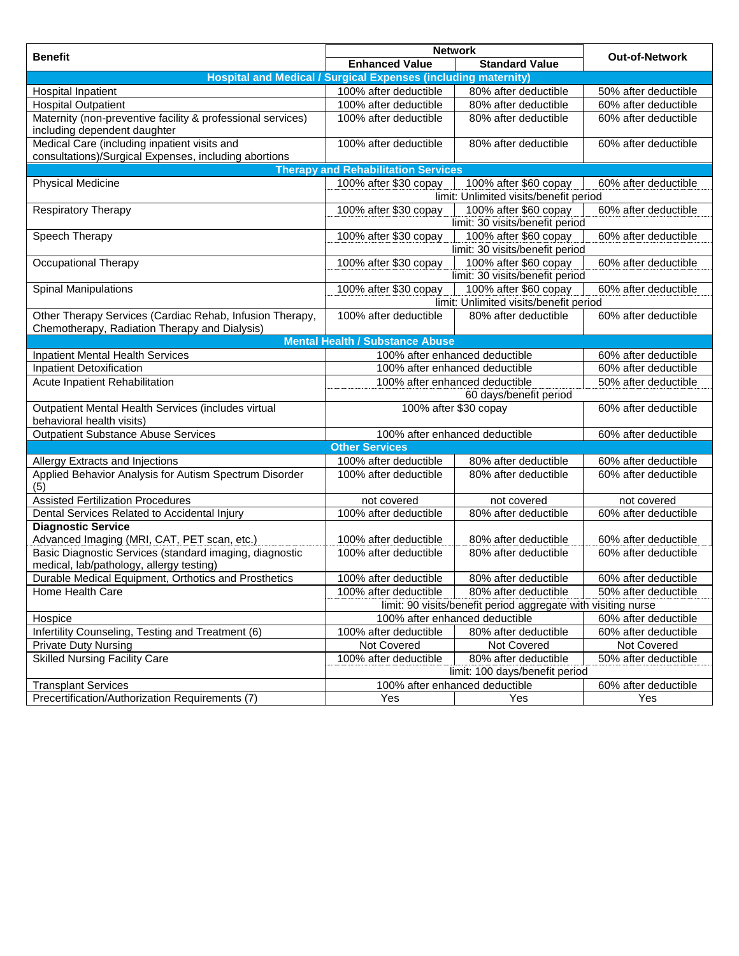|                                                                       | <b>Network</b>                                                                                  |                                        |                       |  |  |  |
|-----------------------------------------------------------------------|-------------------------------------------------------------------------------------------------|----------------------------------------|-----------------------|--|--|--|
| <b>Benefit</b>                                                        | <b>Enhanced Value</b>                                                                           | <b>Standard Value</b>                  | <b>Out-of-Network</b> |  |  |  |
| <b>Hospital and Medical / Surgical Expenses (including maternity)</b> |                                                                                                 |                                        |                       |  |  |  |
| Hospital Inpatient                                                    | 100% after deductible                                                                           | 80% after deductible                   | 50% after deductible  |  |  |  |
| <b>Hospital Outpatient</b>                                            | 100% after deductible                                                                           | 80% after deductible                   | 60% after deductible  |  |  |  |
| Maternity (non-preventive facility & professional services)           | 100% after deductible                                                                           | 80% after deductible                   | 60% after deductible  |  |  |  |
| including dependent daughter                                          |                                                                                                 |                                        |                       |  |  |  |
| Medical Care (including inpatient visits and                          | 100% after deductible                                                                           | 80% after deductible                   | 60% after deductible  |  |  |  |
| consultations)/Surgical Expenses, including abortions                 |                                                                                                 |                                        |                       |  |  |  |
|                                                                       | <b>Therapy and Rehabilitation Services</b>                                                      |                                        |                       |  |  |  |
| <b>Physical Medicine</b>                                              | 100% after \$30 copay                                                                           | 100% after \$60 copay                  | 60% after deductible  |  |  |  |
|                                                                       |                                                                                                 | limit: Unlimited visits/benefit period |                       |  |  |  |
| <b>Respiratory Therapy</b>                                            | 100% after \$30 copay                                                                           | 100% after \$60 copay                  | 60% after deductible  |  |  |  |
|                                                                       |                                                                                                 | limit: 30 visits/benefit period        |                       |  |  |  |
| Speech Therapy                                                        | 100% after \$30 copay                                                                           | 100% after \$60 copay                  | 60% after deductible  |  |  |  |
|                                                                       |                                                                                                 | limit: 30 visits/benefit period        |                       |  |  |  |
| Occupational Therapy                                                  | 100% after \$30 copay                                                                           | 100% after \$60 copay                  | 60% after deductible  |  |  |  |
|                                                                       |                                                                                                 | limit: 30 visits/benefit period        |                       |  |  |  |
| <b>Spinal Manipulations</b>                                           | 100% after \$30 copay                                                                           | 100% after \$60 copay                  | 60% after deductible  |  |  |  |
|                                                                       |                                                                                                 | limit: Unlimited visits/benefit period |                       |  |  |  |
| Other Therapy Services (Cardiac Rehab, Infusion Therapy,              | 100% after deductible                                                                           | 80% after deductible                   | 60% after deductible  |  |  |  |
| Chemotherapy, Radiation Therapy and Dialysis)                         |                                                                                                 |                                        |                       |  |  |  |
|                                                                       | <b>Mental Health / Substance Abuse</b>                                                          |                                        |                       |  |  |  |
| <b>Inpatient Mental Health Services</b>                               |                                                                                                 | 100% after enhanced deductible         | 60% after deductible  |  |  |  |
| Inpatient Detoxification                                              | 100% after enhanced deductible                                                                  |                                        | 60% after deductible  |  |  |  |
| Acute Inpatient Rehabilitation                                        | 100% after enhanced deductible<br>50% after deductible                                          |                                        |                       |  |  |  |
|                                                                       | 60 days/benefit period                                                                          |                                        |                       |  |  |  |
| Outpatient Mental Health Services (includes virtual                   | 100% after \$30 copay                                                                           |                                        | 60% after deductible  |  |  |  |
| behavioral health visits)                                             |                                                                                                 |                                        |                       |  |  |  |
| <b>Outpatient Substance Abuse Services</b>                            |                                                                                                 | 100% after enhanced deductible         | 60% after deductible  |  |  |  |
|                                                                       | <b>Other Services</b>                                                                           |                                        |                       |  |  |  |
| Allergy Extracts and Injections                                       | 100% after deductible                                                                           | 80% after deductible                   | 60% after deductible  |  |  |  |
| Applied Behavior Analysis for Autism Spectrum Disorder                | 100% after deductible                                                                           | 80% after deductible                   | 60% after deductible  |  |  |  |
| (5)                                                                   |                                                                                                 |                                        |                       |  |  |  |
| <b>Assisted Fertilization Procedures</b>                              | not covered                                                                                     | not covered                            | not covered           |  |  |  |
| Dental Services Related to Accidental Injury                          | 100% after deductible                                                                           | 80% after deductible                   | 60% after deductible  |  |  |  |
| <b>Diagnostic Service</b>                                             |                                                                                                 |                                        |                       |  |  |  |
| Advanced Imaging (MRI, CAT, PET scan, etc.)                           | 100% after deductible                                                                           | 80% after deductible                   | 60% after deductible  |  |  |  |
| Basic Diagnostic Services (standard imaging, diagnostic               | 100% after deductible                                                                           | 80% after deductible                   | 60% after deductible  |  |  |  |
| medical, lab/pathology, allergy testing)                              |                                                                                                 |                                        |                       |  |  |  |
| Durable Medical Equipment, Orthotics and Prosthetics                  | 100% after deductible                                                                           | 80% after deductible                   | 60% after deductible  |  |  |  |
| Home Health Care                                                      | 100% after deductible                                                                           | 80% after deductible                   | 50% after deductible  |  |  |  |
|                                                                       | limit: 90 visits/benefit period aggregate with visiting nurse<br>100% after enhanced deductible |                                        |                       |  |  |  |
| Hospice                                                               |                                                                                                 |                                        | 60% after deductible  |  |  |  |
| Infertility Counseling, Testing and Treatment (6)                     | 100% after deductible                                                                           | 80% after deductible                   | 60% after deductible  |  |  |  |
| <b>Private Duty Nursing</b>                                           | Not Covered                                                                                     | Not Covered                            | Not Covered           |  |  |  |
| <b>Skilled Nursing Facility Care</b>                                  | 100% after deductible<br>80% after deductible<br>50% after deductible                           |                                        |                       |  |  |  |
|                                                                       | limit: 100 days/benefit period<br>100% after enhanced deductible                                |                                        |                       |  |  |  |
| <b>Transplant Services</b>                                            |                                                                                                 |                                        | 60% after deductible  |  |  |  |
| Precertification/Authorization Requirements (7)                       | Yes                                                                                             | Yes                                    | Yes                   |  |  |  |